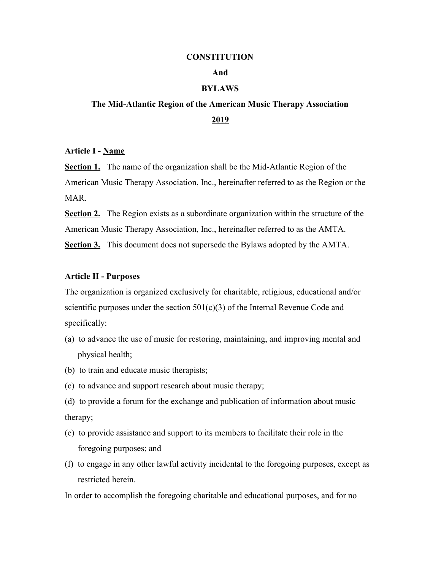#### **CONSTITUTION**

## **And**

# **BYLAWS**

# **The Mid-Atlantic Region of the American Music Therapy Association 2019**

#### **Article I - Name**

**Section 1.** The name of the organization shall be the Mid-Atlantic Region of the American Music Therapy Association, Inc., hereinafter referred to as the Region or the **MAR** 

**Section 2.** The Region exists as a subordinate organization within the structure of the American Music Therapy Association, Inc., hereinafter referred to as the AMTA. **Section 3.** This document does not supersede the Bylaws adopted by the AMTA.

## **Article II - Purposes**

The organization is organized exclusively for charitable, religious, educational and/or scientific purposes under the section  $501(c)(3)$  of the Internal Revenue Code and specifically:

- (a) to advance the use of music for restoring, maintaining, and improving mental and physical health;
- (b) to train and educate music therapists;
- (c) to advance and support research about music therapy;
- (d) to provide a forum for the exchange and publication of information about music therapy;
- (e) to provide assistance and support to its members to facilitate their role in the foregoing purposes; and
- (f) to engage in any other lawful activity incidental to the foregoing purposes, except as restricted herein.

In order to accomplish the foregoing charitable and educational purposes, and for no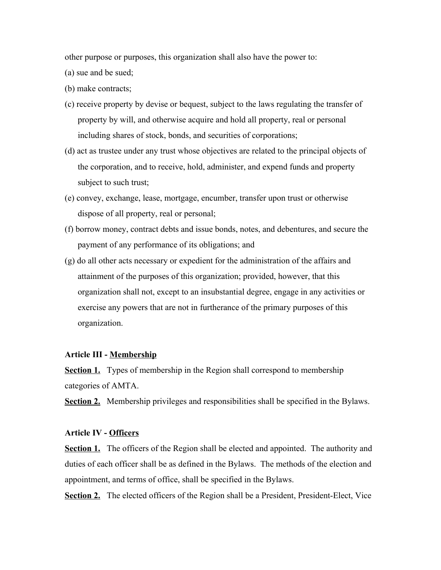other purpose or purposes, this organization shall also have the power to:

(a) sue and be sued;

(b) make contracts;

- (c) receive property by devise or bequest, subject to the laws regulating the transfer of property by will, and otherwise acquire and hold all property, real or personal including shares of stock, bonds, and securities of corporations;
- (d) act as trustee under any trust whose objectives are related to the principal objects of the corporation, and to receive, hold, administer, and expend funds and property subject to such trust;
- (e) convey, exchange, lease, mortgage, encumber, transfer upon trust or otherwise dispose of all property, real or personal;
- (f) borrow money, contract debts and issue bonds, notes, and debentures, and secure the payment of any performance of its obligations; and
- (g) do all other acts necessary or expedient for the administration of the affairs and attainment of the purposes of this organization; provided, however, that this organization shall not, except to an insubstantial degree, engage in any activities or exercise any powers that are not in furtherance of the primary purposes of this organization.

# **Article III - Membership**

**Section 1.** Types of membership in the Region shall correspond to membership categories of AMTA.

**Section 2.** Membership privileges and responsibilities shall be specified in the Bylaws.

## **Article IV - Officers**

**<u>Section 1.</u>** The officers of the Region shall be elected and appointed. The authority and duties of each officer shall be as defined in the Bylaws. The methods of the election and appointment, and terms of office, shall be specified in the Bylaws.

**Section 2.** The elected officers of the Region shall be a President, President-Elect, Vice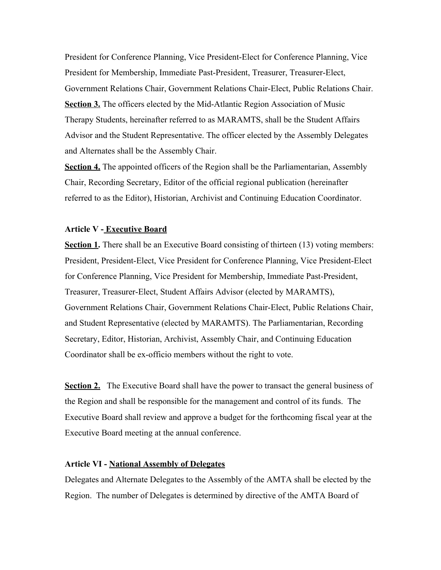President for Conference Planning, Vice President-Elect for Conference Planning, Vice President for Membership, Immediate Past-President, Treasurer, Treasurer-Elect, Government Relations Chair, Government Relations Chair-Elect, Public Relations Chair. **Section 3.** The officers elected by the Mid-Atlantic Region Association of Music Therapy Students, hereinafter referred to as MARAMTS, shall be the Student Affairs Advisor and the Student Representative. The officer elected by the Assembly Delegates and Alternates shall be the Assembly Chair.

**Section 4.** The appointed officers of the Region shall be the Parliamentarian, Assembly Chair, Recording Secretary, Editor of the official regional publication (hereinafter referred to as the Editor), Historian, Archivist and Continuing Education Coordinator.

## **Article V - Executive Board**

**Section 1.** There shall be an Executive Board consisting of thirteen (13) voting members: President, President-Elect, Vice President for Conference Planning, Vice President-Elect for Conference Planning, Vice President for Membership, Immediate Past-President, Treasurer, Treasurer-Elect, Student Affairs Advisor (elected by MARAMTS), Government Relations Chair, Government Relations Chair-Elect, Public Relations Chair, and Student Representative (elected by MARAMTS). The Parliamentarian, Recording Secretary, Editor, Historian, Archivist, Assembly Chair, and Continuing Education Coordinator shall be ex-officio members without the right to vote.

**Section 2.** The Executive Board shall have the power to transact the general business of the Region and shall be responsible for the management and control of its funds. The Executive Board shall review and approve a budget for the forthcoming fiscal year at the Executive Board meeting at the annual conference.

#### **Article VI - National Assembly of Delegates**

Delegates and Alternate Delegates to the Assembly of the AMTA shall be elected by the Region. The number of Delegates is determined by directive of the AMTA Board of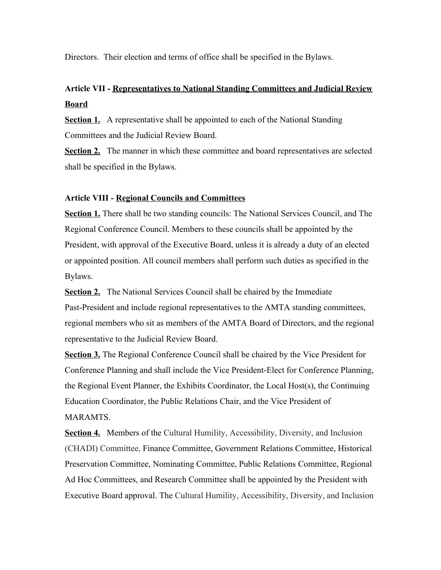Directors. Their election and terms of office shall be specified in the Bylaws.

# **Article VII - Representatives to National Standing Committees and Judicial Review Board**

**Section 1.** A representative shall be appointed to each of the National Standing Committees and the Judicial Review Board.

**Section 2.** The manner in which these committee and board representatives are selected shall be specified in the Bylaws.

# **Article VIII - Regional Councils and Committees**

**Section 1.** There shall be two standing councils: The National Services Council, and The Regional Conference Council. Members to these councils shall be appointed by the President, with approval of the Executive Board, unless it is already a duty of an elected or appointed position. All council members shall perform such duties as specified in the Bylaws.

**<u>Section 2.</u>** The National Services Council shall be chaired by the Immediate Past-President and include regional representatives to the AMTA standing committees, regional members who sit as members of the AMTA Board of Directors, and the regional representative to the Judicial Review Board.

**Section 3.** The Regional Conference Council shall be chaired by the Vice President for Conference Planning and shall include the Vice President-Elect for Conference Planning, the Regional Event Planner, the Exhibits Coordinator, the Local Host(s), the Continuing Education Coordinator, the Public Relations Chair, and the Vice President of MARAMTS.

**Section 4.** Members of the Cultural Humility, Accessibility, Diversity, and Inclusion (CHADI) Committee, Finance Committee, Government Relations Committee, Historical Preservation Committee, Nominating Committee, Public Relations Committee, Regional Ad Hoc Committees, and Research Committee shall be appointed by the President with Executive Board approval. The Cultural Humility, Accessibility, Diversity, and Inclusion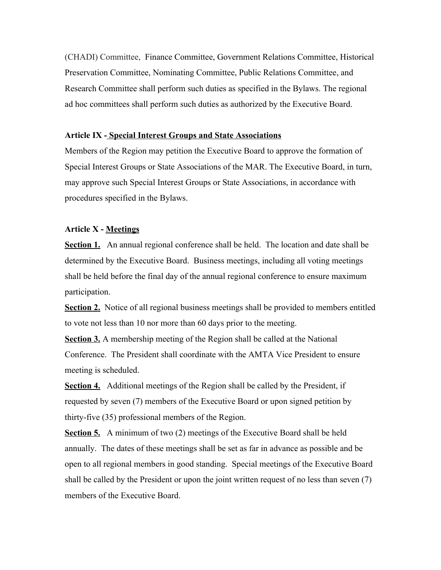(CHADI) Committee, Finance Committee, Government Relations Committee, Historical Preservation Committee, Nominating Committee, Public Relations Committee, and Research Committee shall perform such duties as specified in the Bylaws. The regional ad hoc committees shall perform such duties as authorized by the Executive Board.

# **Article IX - Special Interest Groups and State Associations**

Members of the Region may petition the Executive Board to approve the formation of Special Interest Groups or State Associations of the MAR. The Executive Board, in turn, may approve such Special Interest Groups or State Associations, in accordance with procedures specified in the Bylaws.

# **Article X - Meetings**

**Section 1.** An annual regional conference shall be held. The location and date shall be determined by the Executive Board. Business meetings, including all voting meetings shall be held before the final day of the annual regional conference to ensure maximum participation.

**Section 2.** Notice of all regional business meetings shall be provided to members entitled to vote not less than 10 nor more than 60 days prior to the meeting.

**Section 3.** A membership meeting of the Region shall be called at the National Conference. The President shall coordinate with the AMTA Vice President to ensure meeting is scheduled.

**Section 4.** Additional meetings of the Region shall be called by the President, if requested by seven (7) members of the Executive Board or upon signed petition by thirty-five (35) professional members of the Region.

**Section 5.** A minimum of two (2) meetings of the Executive Board shall be held annually. The dates of these meetings shall be set as far in advance as possible and be open to all regional members in good standing. Special meetings of the Executive Board shall be called by the President or upon the joint written request of no less than seven (7) members of the Executive Board.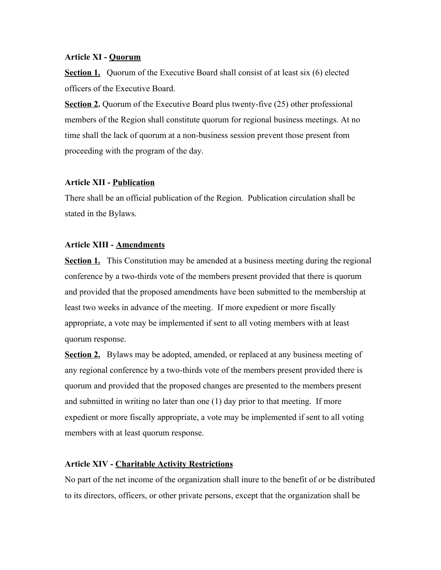#### **Article XI - Quorum**

**Section 1.** Ouorum of the Executive Board shall consist of at least six (6) elected officers of the Executive Board.

**Section 2.** Quorum of the Executive Board plus twenty-five (25) other professional members of the Region shall constitute quorum for regional business meetings. At no time shall the lack of quorum at a non-business session prevent those present from proceeding with the program of the day.

## **Article XII - Publication**

There shall be an official publication of the Region. Publication circulation shall be stated in the Bylaws.

# **Article XIII - Amendments**

**Section 1.** This Constitution may be amended at a business meeting during the regional conference by a two-thirds vote of the members present provided that there is quorum and provided that the proposed amendments have been submitted to the membership at least two weeks in advance of the meeting. If more expedient or more fiscally appropriate, a vote may be implemented if sent to all voting members with at least quorum response.

**Section 2.** Bylaws may be adopted, amended, or replaced at any business meeting of any regional conference by a two-thirds vote of the members present provided there is quorum and provided that the proposed changes are presented to the members present and submitted in writing no later than one (1) day prior to that meeting. If more expedient or more fiscally appropriate, a vote may be implemented if sent to all voting members with at least quorum response.

#### **Article XIV - Charitable Activity Restrictions**

No part of the net income of the organization shall inure to the benefit of or be distributed to its directors, officers, or other private persons, except that the organization shall be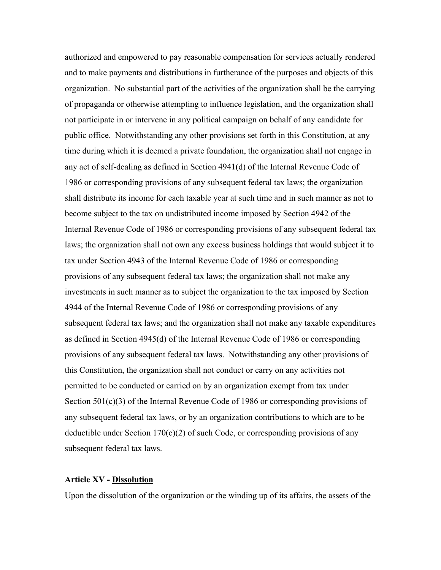authorized and empowered to pay reasonable compensation for services actually rendered and to make payments and distributions in furtherance of the purposes and objects of this organization. No substantial part of the activities of the organization shall be the carrying of propaganda or otherwise attempting to influence legislation, and the organization shall not participate in or intervene in any political campaign on behalf of any candidate for public office. Notwithstanding any other provisions set forth in this Constitution, at any time during which it is deemed a private foundation, the organization shall not engage in any act of self-dealing as defined in Section 4941(d) of the Internal Revenue Code of 1986 or corresponding provisions of any subsequent federal tax laws; the organization shall distribute its income for each taxable year at such time and in such manner as not to become subject to the tax on undistributed income imposed by Section 4942 of the Internal Revenue Code of 1986 or corresponding provisions of any subsequent federal tax laws; the organization shall not own any excess business holdings that would subject it to tax under Section 4943 of the Internal Revenue Code of 1986 or corresponding provisions of any subsequent federal tax laws; the organization shall not make any investments in such manner as to subject the organization to the tax imposed by Section 4944 of the Internal Revenue Code of 1986 or corresponding provisions of any subsequent federal tax laws; and the organization shall not make any taxable expenditures as defined in Section 4945(d) of the Internal Revenue Code of 1986 or corresponding provisions of any subsequent federal tax laws. Notwithstanding any other provisions of this Constitution, the organization shall not conduct or carry on any activities not permitted to be conducted or carried on by an organization exempt from tax under Section 501(c)(3) of the Internal Revenue Code of 1986 or corresponding provisions of any subsequent federal tax laws, or by an organization contributions to which are to be deductible under Section  $170(c)(2)$  of such Code, or corresponding provisions of any subsequent federal tax laws.

#### **Article XV - Dissolution**

Upon the dissolution of the organization or the winding up of its affairs, the assets of the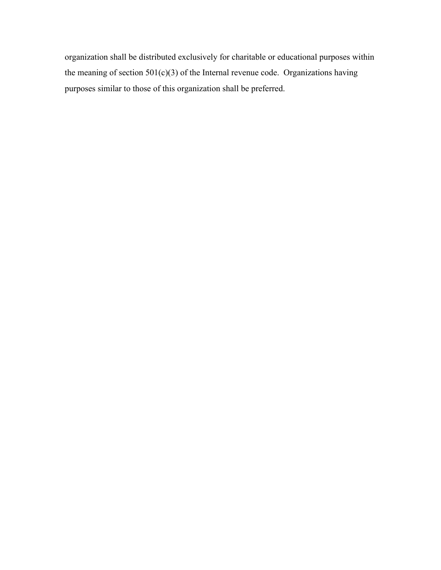organization shall be distributed exclusively for charitable or educational purposes within the meaning of section  $501(c)(3)$  of the Internal revenue code. Organizations having purposes similar to those of this organization shall be preferred.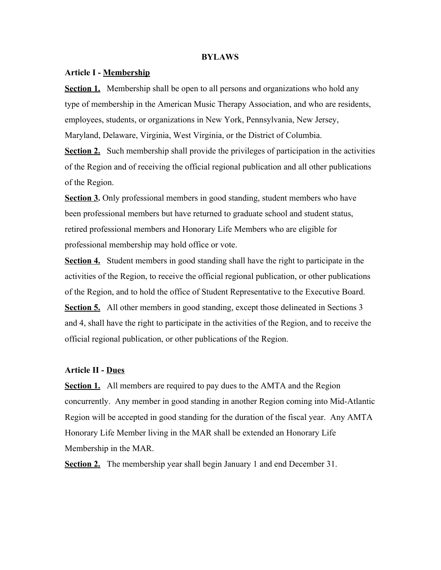#### **BYLAWS**

#### **Article I - Membership**

**Section 1.** Membership shall be open to all persons and organizations who hold any type of membership in the American Music Therapy Association, and who are residents, employees, students, or organizations in New York, Pennsylvania, New Jersey, Maryland, Delaware, Virginia, West Virginia, or the District of Columbia.

**Section 2.** Such membership shall provide the privileges of participation in the activities of the Region and of receiving the official regional publication and all other publications of the Region.

**Section 3.** Only professional members in good standing, student members who have been professional members but have returned to graduate school and student status, retired professional members and Honorary Life Members who are eligible for professional membership may hold office or vote.

**Section 4.** Student members in good standing shall have the right to participate in the activities of the Region, to receive the official regional publication, or other publications of the Region, and to hold the office of Student Representative to the Executive Board. **Section 5.** All other members in good standing, except those delineated in Sections 3 and 4, shall have the right to participate in the activities of the Region, and to receive the official regional publication, or other publications of the Region.

## **Article II - Dues**

**Section 1.** All members are required to pay dues to the AMTA and the Region concurrently. Any member in good standing in another Region coming into Mid-Atlantic Region will be accepted in good standing for the duration of the fiscal year. Any AMTA Honorary Life Member living in the MAR shall be extended an Honorary Life Membership in the MAR.

**Section 2.** The membership year shall begin January 1 and end December 31.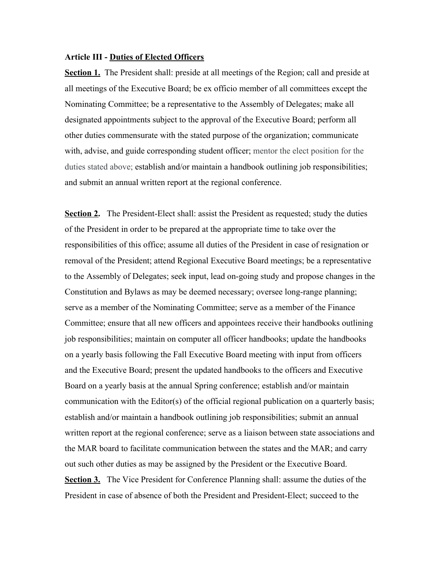#### **Article III - Duties of Elected Officers**

**Section 1.** The President shall: preside at all meetings of the Region; call and preside at all meetings of the Executive Board; be ex officio member of all committees except the Nominating Committee; be a representative to the Assembly of Delegates; make all designated appointments subject to the approval of the Executive Board; perform all other duties commensurate with the stated purpose of the organization; communicate with, advise, and guide corresponding student officer; mentor the elect position for the duties stated above; establish and/or maintain a handbook outlining job responsibilities; and submit an annual written report at the regional conference.

**Section 2.** The President-Elect shall: assist the President as requested; study the duties of the President in order to be prepared at the appropriate time to take over the responsibilities of this office; assume all duties of the President in case of resignation or removal of the President; attend Regional Executive Board meetings; be a representative to the Assembly of Delegates; seek input, lead on-going study and propose changes in the Constitution and Bylaws as may be deemed necessary; oversee long-range planning; serve as a member of the Nominating Committee; serve as a member of the Finance Committee; ensure that all new officers and appointees receive their handbooks outlining job responsibilities; maintain on computer all officer handbooks; update the handbooks on a yearly basis following the Fall Executive Board meeting with input from officers and the Executive Board; present the updated handbooks to the officers and Executive Board on a yearly basis at the annual Spring conference; establish and/or maintain communication with the Editor(s) of the official regional publication on a quarterly basis; establish and/or maintain a handbook outlining job responsibilities; submit an annual written report at the regional conference; serve as a liaison between state associations and the MAR board to facilitate communication between the states and the MAR; and carry out such other duties as may be assigned by the President or the Executive Board. **Section 3.** The Vice President for Conference Planning shall: assume the duties of the President in case of absence of both the President and President-Elect; succeed to the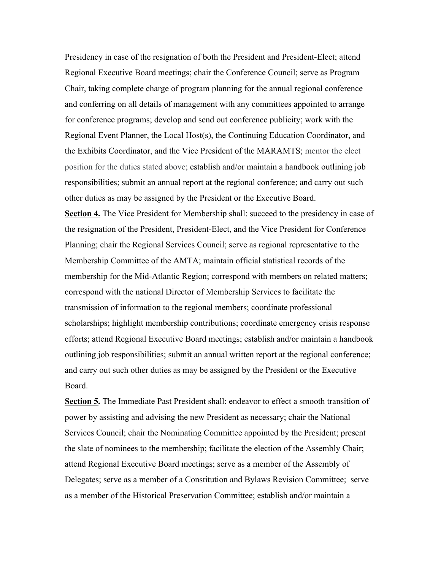Presidency in case of the resignation of both the President and President-Elect; attend Regional Executive Board meetings; chair the Conference Council; serve as Program Chair, taking complete charge of program planning for the annual regional conference and conferring on all details of management with any committees appointed to arrange for conference programs; develop and send out conference publicity; work with the Regional Event Planner, the Local Host(s), the Continuing Education Coordinator, and the Exhibits Coordinator, and the Vice President of the MARAMTS; mentor the elect position for the duties stated above; establish and/or maintain a handbook outlining job responsibilities; submit an annual report at the regional conference; and carry out such other duties as may be assigned by the President or the Executive Board.

**Section 4.** The Vice President for Membership shall: succeed to the presidency in case of the resignation of the President, President-Elect, and the Vice President for Conference Planning; chair the Regional Services Council; serve as regional representative to the Membership Committee of the AMTA; maintain official statistical records of the membership for the Mid-Atlantic Region; correspond with members on related matters; correspond with the national Director of Membership Services to facilitate the transmission of information to the regional members; coordinate professional scholarships; highlight membership contributions; coordinate emergency crisis response efforts; attend Regional Executive Board meetings; establish and/or maintain a handbook outlining job responsibilities; submit an annual written report at the regional conference; and carry out such other duties as may be assigned by the President or the Executive Board.

**Section 5.** The Immediate Past President shall: endeavor to effect a smooth transition of power by assisting and advising the new President as necessary; chair the National Services Council; chair the Nominating Committee appointed by the President; present the slate of nominees to the membership; facilitate the election of the Assembly Chair; attend Regional Executive Board meetings; serve as a member of the Assembly of Delegates; serve as a member of a Constitution and Bylaws Revision Committee; serve as a member of the Historical Preservation Committee; establish and/or maintain a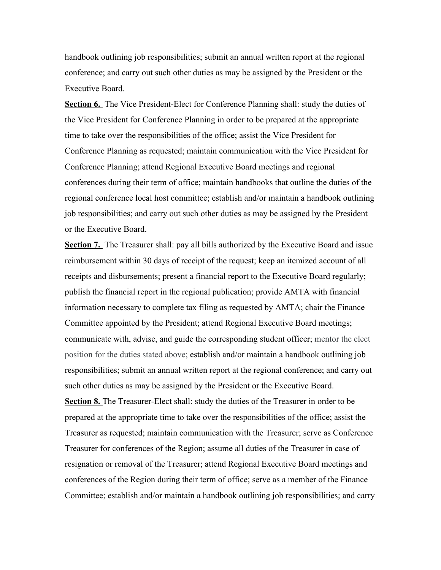handbook outlining job responsibilities; submit an annual written report at the regional conference; and carry out such other duties as may be assigned by the President or the Executive Board.

**Section 6.** The Vice President-Elect for Conference Planning shall: study the duties of the Vice President for Conference Planning in order to be prepared at the appropriate time to take over the responsibilities of the office; assist the Vice President for Conference Planning as requested; maintain communication with the Vice President for Conference Planning; attend Regional Executive Board meetings and regional conferences during their term of office; maintain handbooks that outline the duties of the regional conference local host committee; establish and/or maintain a handbook outlining job responsibilities; and carry out such other duties as may be assigned by the President or the Executive Board.

**Section 7.** The Treasurer shall: pay all bills authorized by the Executive Board and issue reimbursement within 30 days of receipt of the request; keep an itemized account of all receipts and disbursements; present a financial report to the Executive Board regularly; publish the financial report in the regional publication; provide AMTA with financial information necessary to complete tax filing as requested by AMTA; chair the Finance Committee appointed by the President; attend Regional Executive Board meetings; communicate with, advise, and guide the corresponding student officer; mentor the elect position for the duties stated above; establish and/or maintain a handbook outlining job responsibilities; submit an annual written report at the regional conference; and carry out such other duties as may be assigned by the President or the Executive Board.

**Section 8.** The Treasurer-Elect shall: study the duties of the Treasurer in order to be prepared at the appropriate time to take over the responsibilities of the office; assist the Treasurer as requested; maintain communication with the Treasurer; serve as Conference Treasurer for conferences of the Region; assume all duties of the Treasurer in case of resignation or removal of the Treasurer; attend Regional Executive Board meetings and conferences of the Region during their term of office; serve as a member of the Finance Committee; establish and/or maintain a handbook outlining job responsibilities; and carry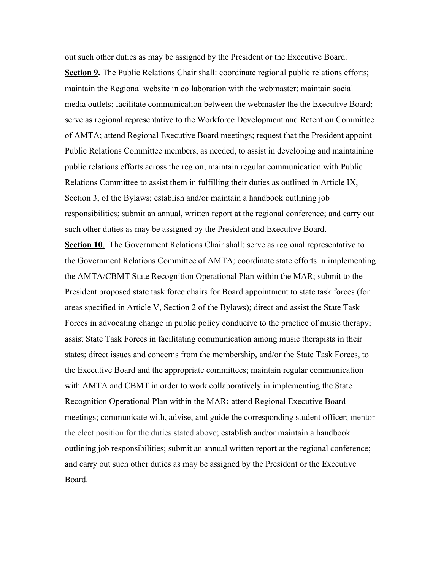out such other duties as may be assigned by the President or the Executive Board. **Section 9.** The Public Relations Chair shall: coordinate regional public relations efforts; maintain the Regional website in collaboration with the webmaster; maintain social media outlets; facilitate communication between the webmaster the the Executive Board; serve as regional representative to the Workforce Development and Retention Committee of AMTA; attend Regional Executive Board meetings; request that the President appoint Public Relations Committee members, as needed, to assist in developing and maintaining public relations efforts across the region; maintain regular communication with Public Relations Committee to assist them in fulfilling their duties as outlined in Article IX, Section 3, of the Bylaws; establish and/or maintain a handbook outlining job responsibilities; submit an annual, written report at the regional conference; and carry out such other duties as may be assigned by the President and Executive Board.

**Section 10.** The Government Relations Chair shall: serve as regional representative to the Government Relations Committee of AMTA; coordinate state efforts in implementing the AMTA/CBMT State Recognition Operational Plan within the MAR; submit to the President proposed state task force chairs for Board appointment to state task forces (for areas specified in Article V, Section 2 of the Bylaws); direct and assist the State Task Forces in advocating change in public policy conducive to the practice of music therapy; assist State Task Forces in facilitating communication among music therapists in their states; direct issues and concerns from the membership, and/or the State Task Forces, to the Executive Board and the appropriate committees; maintain regular communication with AMTA and CBMT in order to work collaboratively in implementing the State Recognition Operational Plan within the MAR**;** attend Regional Executive Board meetings; communicate with, advise, and guide the corresponding student officer; mentor the elect position for the duties stated above; establish and/or maintain a handbook outlining job responsibilities; submit an annual written report at the regional conference; and carry out such other duties as may be assigned by the President or the Executive Board.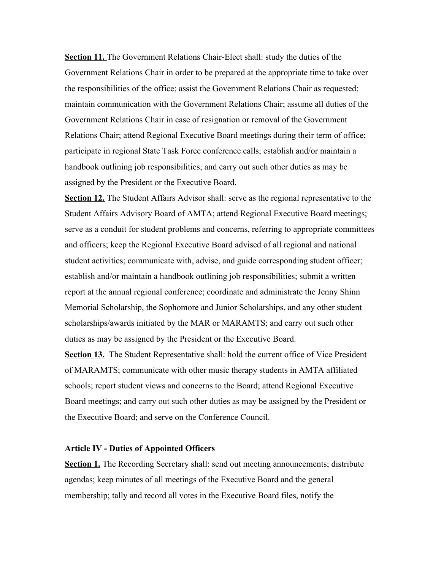**Section 11.** The Government Relations Chair-Elect shall: study the duties of the Government Relations Chair in order to be prepared at the appropriate time to take over the responsibilities of the office; assist the Government Relations Chair as requested; maintain communication with the Government Relations Chair; assume all duties of the Government Relations Chair in case of resignation or removal of the Government Relations Chair; attend Regional Executive Board meetings during their term of office; participate in regional State Task Force conference calls; establish and/or maintain a handbook outlining job responsibilities; and carry out such other duties as may be assigned by the President or the Executive Board.

**Section 12.** The Student Affairs Advisor shall: serve as the regional representative to the Student Affairs Advisory Board of AMTA; attend Regional Executive Board meetings; serve as a conduit for student problems and concerns, referring to appropriate committees and officers; keep the Regional Executive Board advised of all regional and national student activities; communicate with, advise, and guide corresponding student officer; establish and/or maintain a handbook outlining job responsibilities; submit a written report at the annual regional conference; coordinate and administrate the Jenny Shinn Memorial Scholarship, the Sophomore and Junior Scholarships, and any other student scholarships/awards initiated by the MAR or MARAMTS; and carry out such other duties as may be assigned by the President or the Executive Board.

**Section 13.** The Student Representative shall: hold the current office of Vice President of MARAMTS; communicate with other music therapy students in AMTA affiliated schools; report student views and concerns to the Board; attend Regional Executive Board meetings; and carry out such other duties as may be assigned by the President or the Executive Board; and serve on the Conference Council.

## **Article IV - Duties of Appointed Officers**

**Section 1.** The Recording Secretary shall: send out meeting announcements; distribute agendas; keep minutes of all meetings of the Executive Board and the general membership; tally and record all votes in the Executive Board files, notify the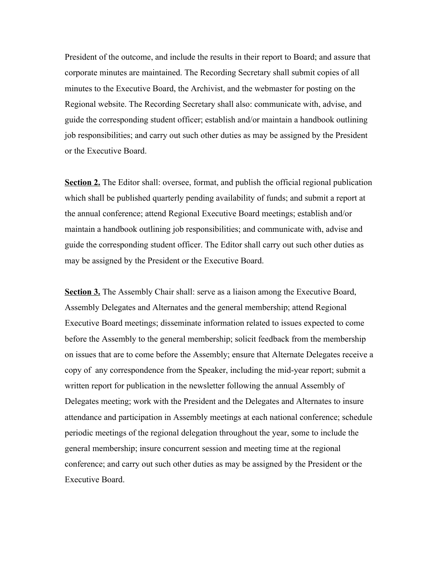President of the outcome, and include the results in their report to Board; and assure that corporate minutes are maintained. The Recording Secretary shall submit copies of all minutes to the Executive Board, the Archivist, and the webmaster for posting on the Regional website. The Recording Secretary shall also: communicate with, advise, and guide the corresponding student officer; establish and/or maintain a handbook outlining job responsibilities; and carry out such other duties as may be assigned by the President or the Executive Board.

**Section 2.** The Editor shall: oversee, format, and publish the official regional publication which shall be published quarterly pending availability of funds; and submit a report at the annual conference; attend Regional Executive Board meetings; establish and/or maintain a handbook outlining job responsibilities; and communicate with, advise and guide the corresponding student officer. The Editor shall carry out such other duties as may be assigned by the President or the Executive Board.

**Section 3.** The Assembly Chair shall: serve as a liaison among the Executive Board, Assembly Delegates and Alternates and the general membership; attend Regional Executive Board meetings; disseminate information related to issues expected to come before the Assembly to the general membership; solicit feedback from the membership on issues that are to come before the Assembly; ensure that Alternate Delegates receive a copy of any correspondence from the Speaker, including the mid-year report; submit a written report for publication in the newsletter following the annual Assembly of Delegates meeting; work with the President and the Delegates and Alternates to insure attendance and participation in Assembly meetings at each national conference; schedule periodic meetings of the regional delegation throughout the year, some to include the general membership; insure concurrent session and meeting time at the regional conference; and carry out such other duties as may be assigned by the President or the Executive Board.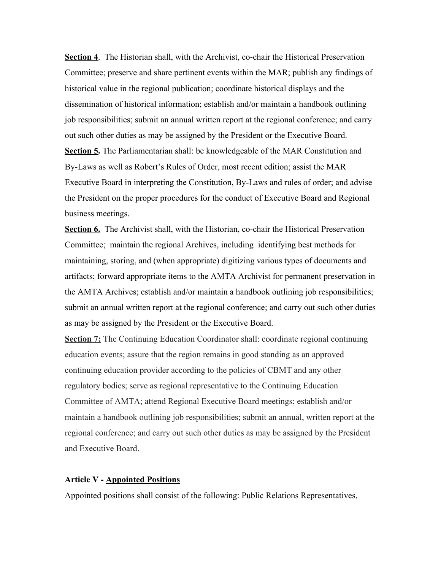**Section 4**. The Historian shall, with the Archivist, co-chair the Historical Preservation Committee; preserve and share pertinent events within the MAR; publish any findings of historical value in the regional publication; coordinate historical displays and the dissemination of historical information; establish and/or maintain a handbook outlining job responsibilities; submit an annual written report at the regional conference; and carry out such other duties as may be assigned by the President or the Executive Board. **Section 5.** The Parliamentarian shall: be knowledgeable of the MAR Constitution and By-Laws as well as Robert's Rules of Order, most recent edition; assist the MAR Executive Board in interpreting the Constitution, By-Laws and rules of order; and advise the President on the proper procedures for the conduct of Executive Board and Regional business meetings.

**Section 6.** The Archivist shall, with the Historian, co-chair the Historical Preservation Committee; maintain the regional Archives, including identifying best methods for maintaining, storing, and (when appropriate) digitizing various types of documents and artifacts; forward appropriate items to the AMTA Archivist for permanent preservation in the AMTA Archives; establish and/or maintain a handbook outlining job responsibilities; submit an annual written report at the regional conference; and carry out such other duties as may be assigned by the President or the Executive Board.

**Section 7:** The Continuing Education Coordinator shall: coordinate regional continuing education events; assure that the region remains in good standing as an approved continuing education provider according to the policies of CBMT and any other regulatory bodies; serve as regional representative to the Continuing Education Committee of AMTA; attend Regional Executive Board meetings; establish and/or maintain a handbook outlining job responsibilities; submit an annual, written report at the regional conference; and carry out such other duties as may be assigned by the President and Executive Board.

# **Article V - Appointed Positions**

Appointed positions shall consist of the following: Public Relations Representatives,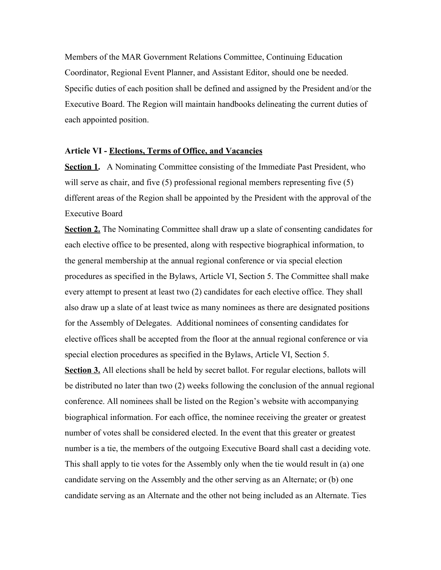Members of the MAR Government Relations Committee, Continuing Education Coordinator, Regional Event Planner, and Assistant Editor, should one be needed. Specific duties of each position shall be defined and assigned by the President and/or the Executive Board. The Region will maintain handbooks delineating the current duties of each appointed position.

#### **Article VI - Elections, Terms of Office, and Vacancies**

**Section 1.** A Nominating Committee consisting of the Immediate Past President, who will serve as chair, and five (5) professional regional members representing five (5) different areas of the Region shall be appointed by the President with the approval of the Executive Board

**Section 2.** The Nominating Committee shall draw up a slate of consenting candidates for each elective office to be presented, along with respective biographical information, to the general membership at the annual regional conference or via special election procedures as specified in the Bylaws, Article VI, Section 5. The Committee shall make every attempt to present at least two (2) candidates for each elective office. They shall also draw up a slate of at least twice as many nominees as there are designated positions for the Assembly of Delegates. Additional nominees of consenting candidates for elective offices shall be accepted from the floor at the annual regional conference or via special election procedures as specified in the Bylaws, Article VI, Section 5.

**Section 3.** All elections shall be held by secret ballot. For regular elections, ballots will be distributed no later than two (2) weeks following the conclusion of the annual regional conference. All nominees shall be listed on the Region's website with accompanying biographical information. For each office, the nominee receiving the greater or greatest number of votes shall be considered elected. In the event that this greater or greatest number is a tie, the members of the outgoing Executive Board shall cast a deciding vote. This shall apply to tie votes for the Assembly only when the tie would result in (a) one candidate serving on the Assembly and the other serving as an Alternate; or (b) one candidate serving as an Alternate and the other not being included as an Alternate. Ties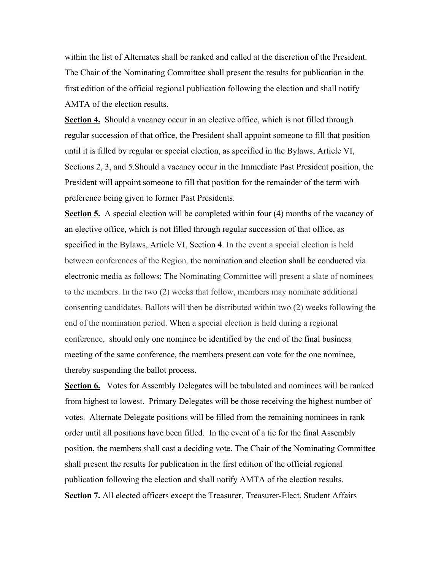within the list of Alternates shall be ranked and called at the discretion of the President. The Chair of the Nominating Committee shall present the results for publication in the first edition of the official regional publication following the election and shall notify AMTA of the election results.

**Section 4.** Should a vacancy occur in an elective office, which is not filled through regular succession of that office, the President shall appoint someone to fill that position until it is filled by regular or special election, as specified in the Bylaws, Article VI, Sections 2, 3, and 5.Should a vacancy occur in the Immediate Past President position, the President will appoint someone to fill that position for the remainder of the term with preference being given to former Past Presidents.

**Section 5.** A special election will be completed within four (4) months of the vacancy of an elective office, which is not filled through regular succession of that office, as specified in the Bylaws, Article VI, Section 4. In the event a special election is held between conferences of the Region*,* the nomination and election shall be conducted via electronic media as follows: The Nominating Committee will present a slate of nominees to the members. In the two (2) weeks that follow, members may nominate additional consenting candidates. Ballots will then be distributed within two (2) weeks following the end of the nomination period. When a special election is held during a regional conference, should only one nominee be identified by the end of the final business meeting of the same conference, the members present can vote for the one nominee, thereby suspending the ballot process.

**Section 6.** Votes for Assembly Delegates will be tabulated and nominees will be ranked from highest to lowest. Primary Delegates will be those receiving the highest number of votes. Alternate Delegate positions will be filled from the remaining nominees in rank order until all positions have been filled. In the event of a tie for the final Assembly position, the members shall cast a deciding vote. The Chair of the Nominating Committee shall present the results for publication in the first edition of the official regional publication following the election and shall notify AMTA of the election results. **Section 7.** All elected officers except the Treasurer, Treasurer-Elect, Student Affairs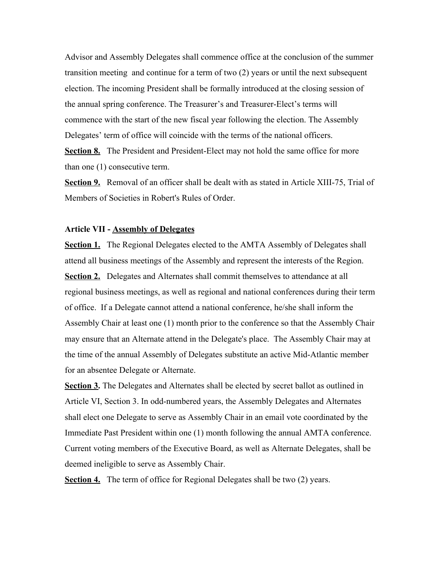Advisor and Assembly Delegates shall commence office at the conclusion of the summer transition meeting and continue for a term of two (2) years or until the next subsequent election. The incoming President shall be formally introduced at the closing session of the annual spring conference. The Treasurer's and Treasurer-Elect's terms will commence with the start of the new fiscal year following the election. The Assembly Delegates' term of office will coincide with the terms of the national officers. **Section 8.** The President and President-Elect may not hold the same office for more

than one (1) consecutive term.

**Section 9.** Removal of an officer shall be dealt with as stated in Article XIII-75, Trial of Members of Societies in Robert's Rules of Order.

#### **Article VII - Assembly of Delegates**

**Section 1.** The Regional Delegates elected to the AMTA Assembly of Delegates shall attend all business meetings of the Assembly and represent the interests of the Region. **Section 2.** Delegates and Alternates shall commit themselves to attendance at all regional business meetings, as well as regional and national conferences during their term of office. If a Delegate cannot attend a national conference, he/she shall inform the Assembly Chair at least one (1) month prior to the conference so that the Assembly Chair may ensure that an Alternate attend in the Delegate's place. The Assembly Chair may at the time of the annual Assembly of Delegates substitute an active Mid-Atlantic member for an absentee Delegate or Alternate.

**Section 3.** The Delegates and Alternates shall be elected by secret ballot as outlined in Article VI, Section 3. In odd-numbered years, the Assembly Delegates and Alternates shall elect one Delegate to serve as Assembly Chair in an email vote coordinated by the Immediate Past President within one (1) month following the annual AMTA conference. Current voting members of the Executive Board, as well as Alternate Delegates, shall be deemed ineligible to serve as Assembly Chair.

**Section 4.** The term of office for Regional Delegates shall be two (2) years.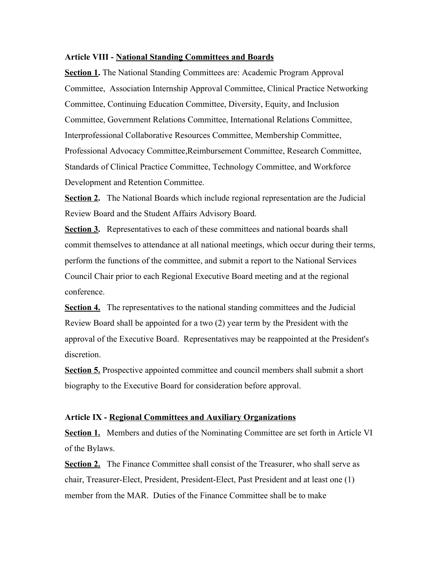#### **Article VIII - National Standing Committees and Boards**

**Section 1.** The National Standing Committees are: Academic Program Approval Committee, Association Internship Approval Committee, Clinical Practice Networking Committee, Continuing Education Committee, Diversity, Equity, and Inclusion Committee, Government Relations Committee, International Relations Committee, Interprofessional Collaborative Resources Committee, Membership Committee, Professional Advocacy Committee,Reimbursement Committee, Research Committee, Standards of Clinical Practice Committee, Technology Committee, and Workforce Development and Retention Committee.

**Section 2.** The National Boards which include regional representation are the Judicial Review Board and the Student Affairs Advisory Board.

**Section 3.** Representatives to each of these committees and national boards shall commit themselves to attendance at all national meetings, which occur during their terms, perform the functions of the committee, and submit a report to the National Services Council Chair prior to each Regional Executive Board meeting and at the regional conference.

**Section 4.** The representatives to the national standing committees and the Judicial Review Board shall be appointed for a two (2) year term by the President with the approval of the Executive Board. Representatives may be reappointed at the President's discretion.

**Section 5.** Prospective appointed committee and council members shall submit a short biography to the Executive Board for consideration before approval.

#### **Article IX - Regional Committees and Auxiliary Organizations**

**Section 1.** Members and duties of the Nominating Committee are set forth in Article VI of the Bylaws.

**Section 2.** The Finance Committee shall consist of the Treasurer, who shall serve as chair, Treasurer-Elect, President, President-Elect, Past President and at least one (1) member from the MAR. Duties of the Finance Committee shall be to make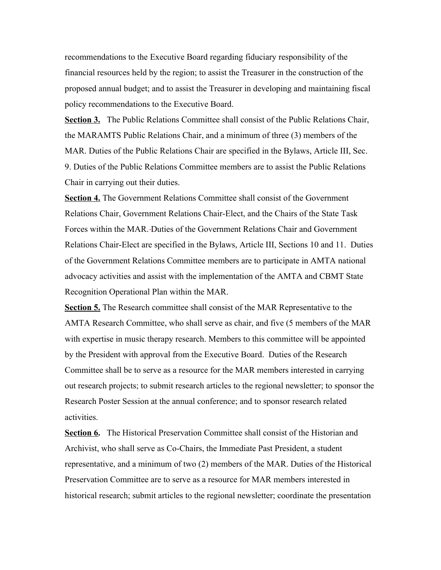recommendations to the Executive Board regarding fiduciary responsibility of the financial resources held by the region; to assist the Treasurer in the construction of the proposed annual budget; and to assist the Treasurer in developing and maintaining fiscal policy recommendations to the Executive Board.

**Section 3.** The Public Relations Committee shall consist of the Public Relations Chair, the MARAMTS Public Relations Chair, and a minimum of three (3) members of the MAR. Duties of the Public Relations Chair are specified in the Bylaws, Article III, Sec. 9. Duties of the Public Relations Committee members are to assist the Public Relations Chair in carrying out their duties.

**Section 4.** The Government Relations Committee shall consist of the Government Relations Chair, Government Relations Chair-Elect, and the Chairs of the State Task Forces within the MAR. Duties of the Government Relations Chair and Government Relations Chair-Elect are specified in the Bylaws, Article III, Sections 10 and 11. Duties of the Government Relations Committee members are to participate in AMTA national advocacy activities and assist with the implementation of the AMTA and CBMT State Recognition Operational Plan within the MAR.

**Section 5.** The Research committee shall consist of the MAR Representative to the AMTA Research Committee, who shall serve as chair, and five (5 members of the MAR with expertise in music therapy research. Members to this committee will be appointed by the President with approval from the Executive Board. Duties of the Research Committee shall be to serve as a resource for the MAR members interested in carrying out research projects; to submit research articles to the regional newsletter; to sponsor the Research Poster Session at the annual conference; and to sponsor research related activities.

**Section 6.** The Historical Preservation Committee shall consist of the Historian and Archivist, who shall serve as Co-Chairs, the Immediate Past President, a student representative, and a minimum of two (2) members of the MAR. Duties of the Historical Preservation Committee are to serve as a resource for MAR members interested in historical research; submit articles to the regional newsletter; coordinate the presentation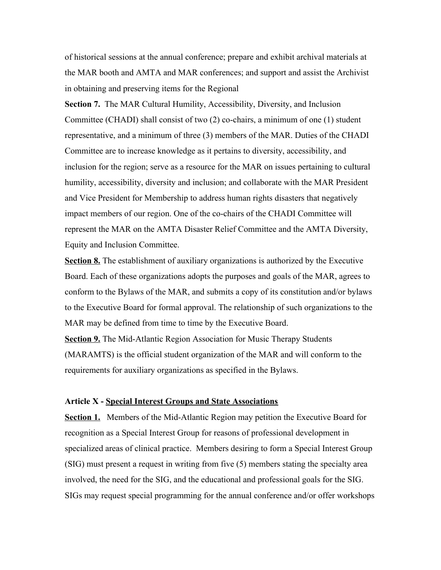of historical sessions at the annual conference; prepare and exhibit archival materials at the MAR booth and AMTA and MAR conferences; and support and assist the Archivist in obtaining and preserving items for the Regional

**Section 7.** The MAR Cultural Humility, Accessibility, Diversity, and Inclusion Committee (CHADI) shall consist of two (2) co-chairs, a minimum of one (1) student representative, and a minimum of three (3) members of the MAR. Duties of the CHADI Committee are to increase knowledge as it pertains to diversity, accessibility, and inclusion for the region; serve as a resource for the MAR on issues pertaining to cultural humility, accessibility, diversity and inclusion; and collaborate with the MAR President and Vice President for Membership to address human rights disasters that negatively impact members of our region. One of the co-chairs of the CHADI Committee will represent the MAR on the AMTA Disaster Relief Committee and the AMTA Diversity, Equity and Inclusion Committee.

**Section 8.** The establishment of auxiliary organizations is authorized by the Executive Board. Each of these organizations adopts the purposes and goals of the MAR, agrees to conform to the Bylaws of the MAR, and submits a copy of its constitution and/or bylaws to the Executive Board for formal approval. The relationship of such organizations to the MAR may be defined from time to time by the Executive Board.

**Section 9.** The Mid-Atlantic Region Association for Music Therapy Students (MARAMTS) is the official student organization of the MAR and will conform to the requirements for auxiliary organizations as specified in the Bylaws.

#### **Article X - Special Interest Groups and State Associations**

**Section 1.** Members of the Mid-Atlantic Region may petition the Executive Board for recognition as a Special Interest Group for reasons of professional development in specialized areas of clinical practice. Members desiring to form a Special Interest Group (SIG) must present a request in writing from five (5) members stating the specialty area involved, the need for the SIG, and the educational and professional goals for the SIG. SIGs may request special programming for the annual conference and/or offer workshops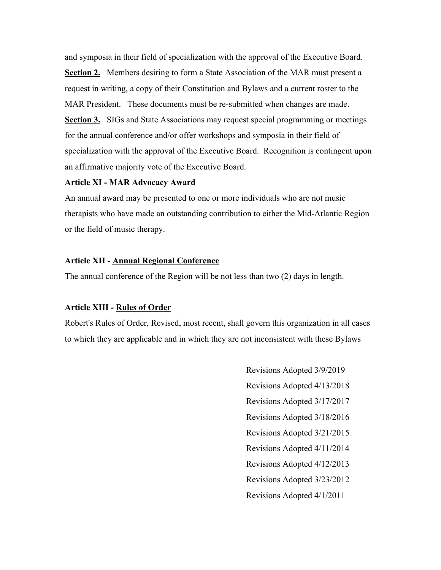and symposia in their field of specialization with the approval of the Executive Board. **Section 2.** Members desiring to form a State Association of the MAR must present a request in writing, a copy of their Constitution and Bylaws and a current roster to the MAR President. These documents must be re-submitted when changes are made. **Section 3.** SIGs and State Associations may request special programming or meetings for the annual conference and/or offer workshops and symposia in their field of specialization with the approval of the Executive Board. Recognition is contingent upon an affirmative majority vote of the Executive Board.

## **Article XI - MAR Advocacy Award**

An annual award may be presented to one or more individuals who are not music therapists who have made an outstanding contribution to either the Mid-Atlantic Region or the field of music therapy.

### **Article XII - Annual Regional Conference**

The annual conference of the Region will be not less than two (2) days in length.

#### **Article XIII - Rules of Order**

Robert's Rules of Order, Revised, most recent, shall govern this organization in all cases to which they are applicable and in which they are not inconsistent with these Bylaws

> Revisions Adopted 3/9/2019 Revisions Adopted 4/13/2018 Revisions Adopted 3/17/2017 Revisions Adopted 3/18/2016 Revisions Adopted 3/21/2015 Revisions Adopted 4/11/2014 Revisions Adopted 4/12/2013 Revisions Adopted 3/23/2012 Revisions Adopted 4/1/2011